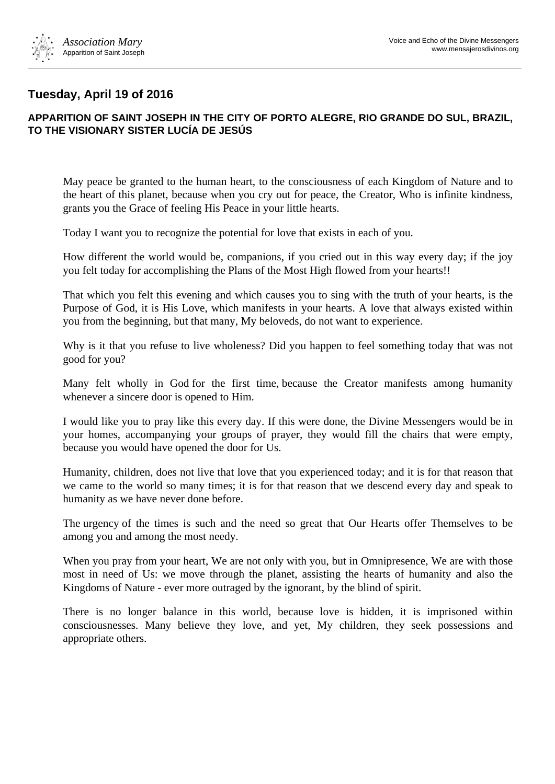

## **Tuesday, April 19 of 2016**

## **APPARITION OF SAINT JOSEPH IN THE CITY OF PORTO ALEGRE, RIO GRANDE DO SUL, BRAZIL, TO THE VISIONARY SISTER LUCÍA DE JESÚS**

May peace be granted to the human heart, to the consciousness of each Kingdom of Nature and to the heart of this planet, because when you cry out for peace, the Creator, Who is infinite kindness, grants you the Grace of feeling His Peace in your little hearts.

Today I want you to recognize the potential for love that exists in each of you.

How different the world would be, companions, if you cried out in this way every day; if the joy you felt today for accomplishing the Plans of the Most High flowed from your hearts!!

That which you felt this evening and which causes you to sing with the truth of your hearts, is the Purpose of God, it is His Love, which manifests in your hearts. A love that always existed within you from the beginning, but that many, My beloveds, do not want to experience.

Why is it that you refuse to live wholeness? Did you happen to feel something today that was not good for you?

Many felt wholly in God for the first time, because the Creator manifests among humanity whenever a sincere door is opened to Him.

I would like you to pray like this every day. If this were done, the Divine Messengers would be in your homes, accompanying your groups of prayer, they would fill the chairs that were empty, because you would have opened the door for Us.

Humanity, children, does not live that love that you experienced today; and it is for that reason that we came to the world so many times; it is for that reason that we descend every day and speak to humanity as we have never done before.

The urgency of the times is such and the need so great that Our Hearts offer Themselves to be among you and among the most needy.

When you pray from your heart, We are not only with you, but in Omnipresence, We are with those most in need of Us: we move through the planet, assisting the hearts of humanity and also the Kingdoms of Nature - ever more outraged by the ignorant, by the blind of spirit.

There is no longer balance in this world, because love is hidden, it is imprisoned within consciousnesses. Many believe they love, and yet, My children, they seek possessions and appropriate others.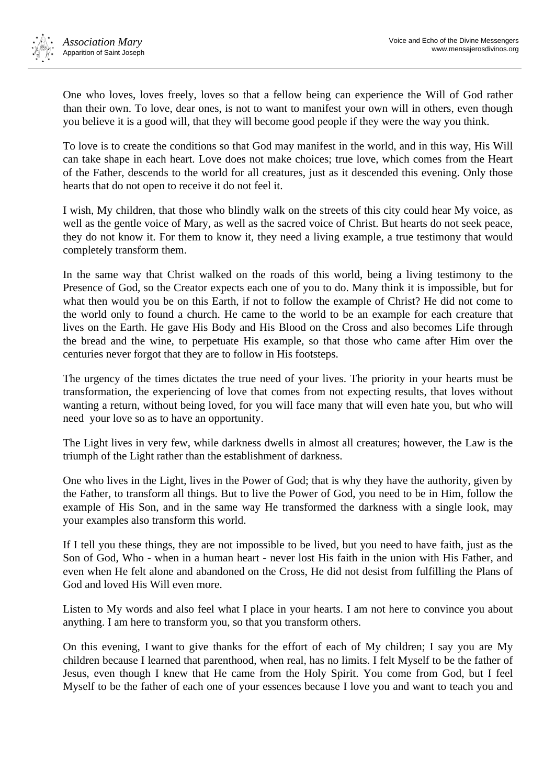One who loves, loves freely, loves so that a fellow being can experience the Will of God rather than their own. To love, dear ones, is not to want to manifest your own will in others, even though you believe it is a good will, that they will become good people if they were the way you think.

To love is to create the conditions so that God may manifest in the world, and in this way, His Will can take shape in each heart. Love does not make choices; true love, which comes from the Heart of the Father, descends to the world for all creatures, just as it descended this evening. Only those hearts that do not open to receive it do not feel it.

I wish, My children, that those who blindly walk on the streets of this city could hear My voice, as well as the gentle voice of Mary, as well as the sacred voice of Christ. But hearts do not seek peace, they do not know it. For them to know it, they need a living example, a true testimony that would completely transform them.

In the same way that Christ walked on the roads of this world, being a living testimony to the Presence of God, so the Creator expects each one of you to do. Many think it is impossible, but for what then would you be on this Earth, if not to follow the example of Christ? He did not come to the world only to found a church. He came to the world to be an example for each creature that lives on the Earth. He gave His Body and His Blood on the Cross and also becomes Life through the bread and the wine, to perpetuate His example, so that those who came after Him over the centuries never forgot that they are to follow in His footsteps.

The urgency of the times dictates the true need of your lives. The priority in your hearts must be transformation, the experiencing of love that comes from not expecting results, that loves without wanting a return, without being loved, for you will face many that will even hate you, but who will need your love so as to have an opportunity.

The Light lives in very few, while darkness dwells in almost all creatures; however, the Law is the triumph of the Light rather than the establishment of darkness.

One who lives in the Light, lives in the Power of God; that is why they have the authority, given by the Father, to transform all things. But to live the Power of God, you need to be in Him, follow the example of His Son, and in the same way He transformed the darkness with a single look, may your examples also transform this world.

If I tell you these things, they are not impossible to be lived, but you need to have faith, just as the Son of God, Who - when in a human heart - never lost His faith in the union with His Father, and even when He felt alone and abandoned on the Cross, He did not desist from fulfilling the Plans of God and loved His Will even more.

Listen to My words and also feel what I place in your hearts. I am not here to convince you about anything. I am here to transform you, so that you transform others.

On this evening, I want to give thanks for the effort of each of My children; I say you are My children because I learned that parenthood, when real, has no limits. I felt Myself to be the father of Jesus, even though I knew that He came from the Holy Spirit. You come from God, but I feel Myself to be the father of each one of your essences because I love you and want to teach you and